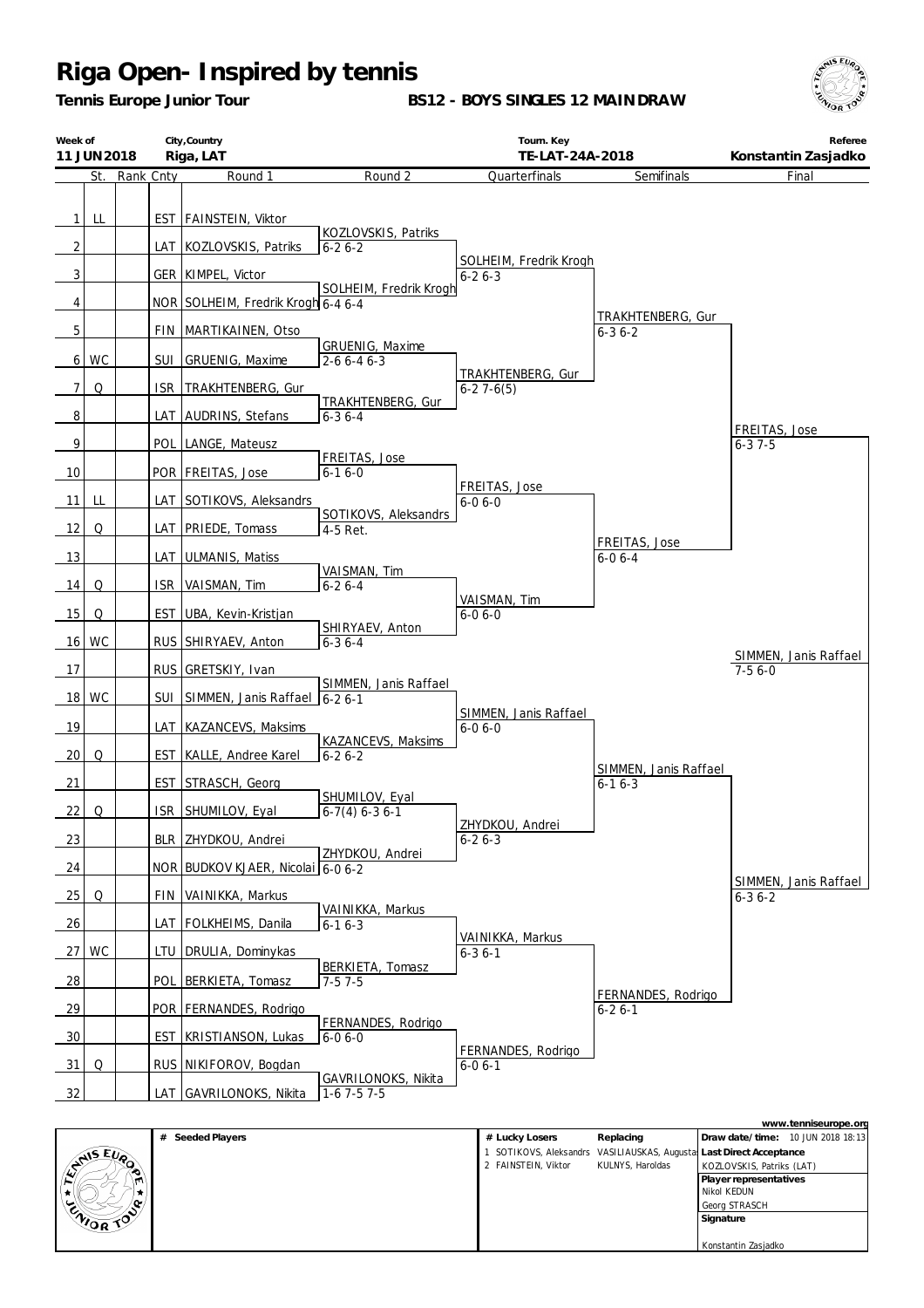*Tennis Europe Junior Tour*

**BS12 - BOYS SINGLES 12 MAINDRAW**



| Week of         | 11 JUN 2018 |           |       | City, Country<br>Riga, LAT                       |                                       | Tourn. Key<br>TE-LAT-24A-2018         |                               | Referee<br>Konstantin Zasjadko        |
|-----------------|-------------|-----------|-------|--------------------------------------------------|---------------------------------------|---------------------------------------|-------------------------------|---------------------------------------|
|                 | St.         | Rank Cnty |       | Round 1                                          | Round 2                               | Quarterfinals                         | Semifinals                    | Final                                 |
| 11<br>2         | LL          |           |       | EST FAINSTEIN, Viktor<br>LAT KOZLOVSKIS, Patriks | KOZLOVSKIS, Patriks<br>$6 - 26 - 2$   |                                       |                               |                                       |
|                 |             |           |       |                                                  |                                       | SOLHEIM, Fredrik Krogh                |                               |                                       |
| 3               |             |           |       | GER KIMPEL, Victor                               | SOLHEIM, Fredrik Krogh                | $6 - 26 - 3$                          |                               |                                       |
| 4               |             |           |       | NOR SOLHEIM, Fredrik Krogh 6-4 6-4               |                                       |                                       | TRAKHTENBERG, Gur             |                                       |
| 5               |             |           |       | FIN MARTIKAINEN, Otso                            |                                       |                                       | $6 - 36 - 2$                  |                                       |
|                 | 6 WC        |           | SUI   | GRUENIG, Maxime                                  | GRUENIG, Maxime<br>$2 - 66 - 46 - 3$  |                                       |                               |                                       |
| $\overline{7}$  | Q           |           | ISR   | TRAKHTENBERG, Gur                                |                                       | TRAKHTENBERG, Gur<br>$6 - 27 - 6(5)$  |                               |                                       |
| $\sqrt{8}$      |             |           | LAT   | AUDRINS, Stefans                                 | TRAKHTENBERG, Gur<br>$6 - 36 - 4$     |                                       |                               |                                       |
| 9               |             |           | POL   | LANGE, Mateusz                                   |                                       |                                       |                               | FREITAS, Jose<br>$6 - 37 - 5$         |
| 10              |             |           |       | POR   FREITAS, Jose                              | FREITAS, Jose<br>$6 - 16 - 0$         |                                       |                               |                                       |
| 11              | LL          |           |       | LAT SOTIKOVS, Aleksandrs                         |                                       | FREITAS, Jose<br>$6 - 06 - 0$         |                               |                                       |
| 12              | Q           |           |       | LAT   PRIEDE, Tomass                             | SOTIKOVS, Aleksandrs<br>4-5 Ret.      |                                       |                               |                                       |
| 13              |             |           | LAT   | <b>ULMANIS, Matiss</b>                           |                                       |                                       | FREITAS, Jose<br>$6 - 06 - 4$ |                                       |
| 14              | Q           |           | ISR.  | VAISMAN, Tim                                     | VAISMAN, Tim<br>$6 - 26 - 4$          |                                       |                               |                                       |
| 15              | Q           |           | EST I | UBA, Kevin-Kristjan                              | SHIRYAEV, Anton                       | VAISMAN, Tim<br>$6 - 06 - 0$          |                               |                                       |
|                 | 16 WC       |           |       | RUS SHIRYAEV, Anton                              | $6 - 36 - 4$                          |                                       |                               |                                       |
| 17              |             |           |       | RUS GRETSKIY, Ivan                               |                                       |                                       |                               | SIMMEN, Janis Raffael<br>$7 - 56 - 0$ |
|                 | 18 WC       |           | SUI I | SIMMEN, Janis Raffael                            | SIMMEN, Janis Raffael<br>$6 - 26 - 1$ |                                       |                               |                                       |
| 19              |             |           |       | LAT KAZANCEVS, Maksims                           |                                       | SIMMEN, Janis Raffael<br>$6 - 06 - 0$ |                               |                                       |
| 20              | Q           |           |       | EST   KALLE, Andree Karel                        | KAZANCEVS, Maksims<br>$6 - 26 - 2$    |                                       | SIMMEN, Janis Raffael         |                                       |
| 21              |             |           |       | EST STRASCH, Georg                               |                                       |                                       | $6 - 16 - 3$                  |                                       |
| 22              | Q           |           |       | ISR SHUMILOV, Eyal                               | SHUMILOV, Eyal<br>$6-7(4) 6-36-1$     | ZHYDKOU, Andrei                       |                               |                                       |
| 23              |             |           |       | BLR ZHYDKOU, Andrei                              |                                       | $6 - 26 - 3$                          |                               |                                       |
| 24              |             |           |       | NOR BUDKOV KJAER, Nicolai 6-0 6-2                | ZHYDKOU, Andrei                       |                                       |                               |                                       |
| 25              | Q           |           |       | FIN VAINIKKA, Markus                             |                                       |                                       |                               | SIMMEN, Janis Raffael<br>$6 - 36 - 2$ |
| 26              |             |           |       | LAT FOLKHEIMS, Danila                            | VAINIKKA, Markus<br>$6 - 16 - 3$      |                                       |                               |                                       |
| 27 <sup>1</sup> | WC          |           | LTU   | DRULIA, Dominykas                                |                                       | VAINIKKA, Markus<br>$6 - 3$ 6 - 1     |                               |                                       |
| $\frac{28}{ }$  |             |           |       | POL BERKIETA, Tomasz                             | BERKIETA, Tomasz<br>$7-57-5$          |                                       | FERNANDES, Rodrigo            |                                       |
| 29              |             |           |       | POR FERNANDES, Rodrigo                           |                                       |                                       | $6 - 26 - 1$                  |                                       |
| 30              |             |           |       | EST   KRISTIANSON, Lukas                         | FERNANDES, Rodrigo<br>$6 - 06 - 0$    | FERNANDES, Rodrigo                    |                               |                                       |
| 31              | Q           |           |       | RUS NIKIFOROV, Bogdan                            |                                       | $6 - 06 - 1$                          |                               |                                       |
| 32              |             |           |       | LAT GAVRILONOKS, Nikita                          | GAVRILONOKS, Nikita<br>$1-6$ 7-5 7-5  |                                       |                               |                                       |

|                |                     |                     |                  | www.tenniseurope.org                                              |
|----------------|---------------------|---------------------|------------------|-------------------------------------------------------------------|
|                | Seeded Players<br># | # Lucky Losers      | Replacing        | Draw date/time: 10 JUN 2018 18:13                                 |
| <b>ANS EUP</b> |                     |                     |                  | SOTIKOVS, Aleksandrs VASILIAUSKAS, Augusta Last Direct Acceptance |
|                |                     | 2 FAINSTEIN, Viktor | KULNYS, Haroldas | KOZLOVSKIS, Patriks (LAT)                                         |
| m              |                     |                     |                  | Player representatives                                            |
|                |                     |                     |                  | Nikol KEDUN                                                       |
|                |                     |                     |                  | Georg STRASCH                                                     |
| ENIOR TO       |                     |                     |                  | Signature                                                         |
|                |                     |                     |                  |                                                                   |
|                |                     |                     |                  | Konstantin Zasjadko                                               |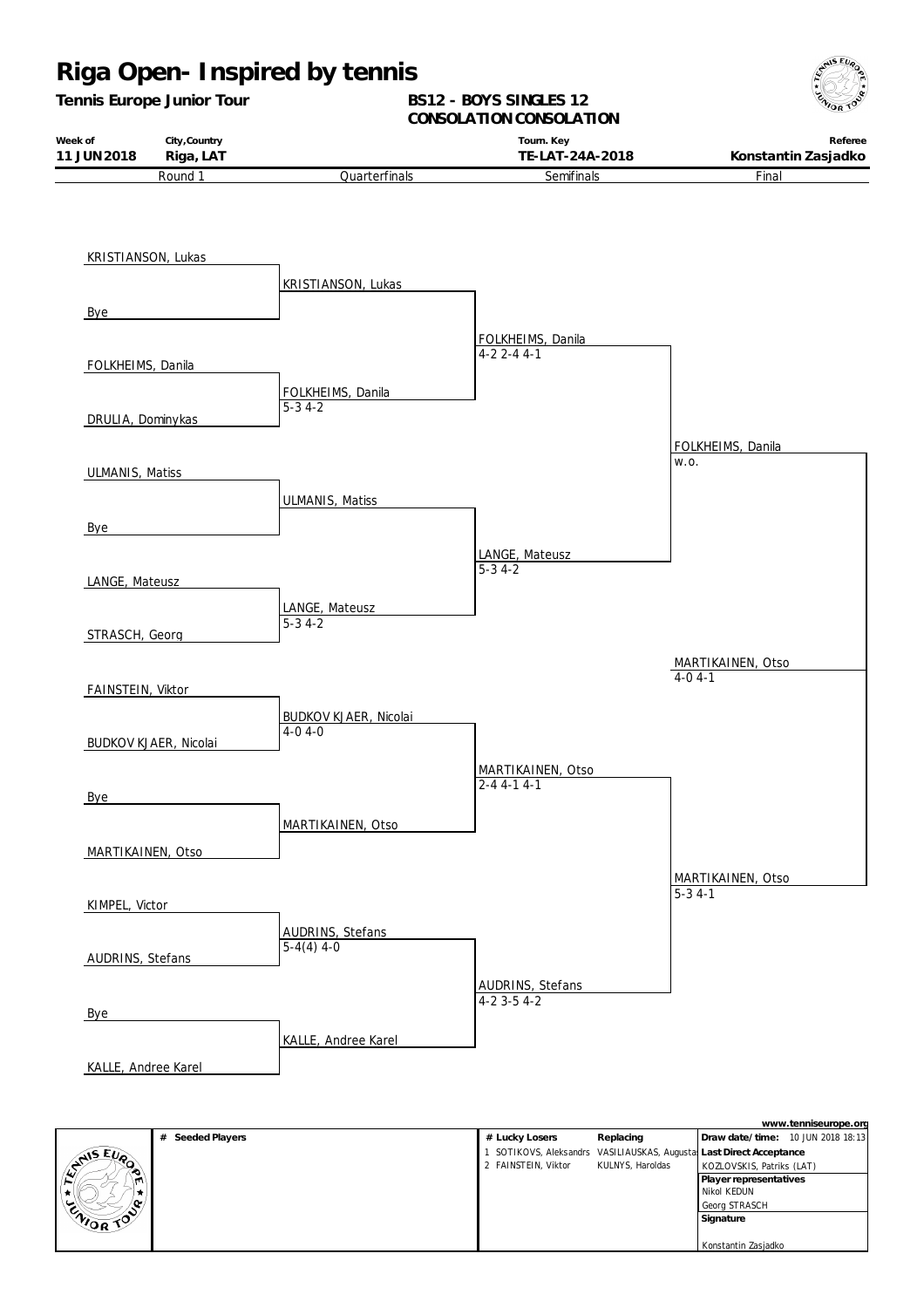### **Riga Open- Inspired by tennis** *Tennis Europe Junior Tour* **Week of 11 JUN2018 City,Country Riga, LAT BS12 - BOYS SINGLES 12** CONSOLATION CONSOLATION **Tourn. Key TE-LAT-24A-2018 Referee Konstantin Zasjadko** Round 1 KRISTIANSON, Lukas Bye FOLKHEIMS, Danila DRULIA, Dominykas ULMANIS, Matiss Bye LANGE, Mateusz STRASCH, Georg FAINSTEIN, Viktor BUDKOV KJAER, Nicolai Bye MARTIKAINEN, Otso KIMPEL, Victor AUDRINS, Stefans Bye KALLE, Andree Karel **Quarterfinals** KRISTIANSON, Lukas FOLKHEIMS, Danila  $\overline{5-34-2}$ ULMANIS, Matiss LANGE, Mateusz 5-3 4-2 BUDKOV KJAER, Nicolai 4-0 4-0 MARTIKAINEN, Otso AUDRINS, Stefans  $\overline{5-4(4)4-0}$ KALLE, Andree Karel **Semifinals** FOLKHEIMS, Danila 4-2 2-4 4-1 LANGE, Mateusz 5-3 4-2 MARTIKAINEN, Otso 2-4 4-1 4-1 AUDRINS, Stefans  $4-2$  3-5  $4-2$ Final FOLKHEIMS, Danila w.o. MARTIKAINEN, Otso  $5 - 34 - 1$ MARTIKAINEN, Otso  $\overline{4-0.4-1}$

**ANS EURO** 

|           |                  |                     |                  | www.tenniseurope.org                                              |
|-----------|------------------|---------------------|------------------|-------------------------------------------------------------------|
|           | # Seeded Players | # Lucky Losers      | Replacing        | Draw date/time: 10 JUN 2018 18:13                                 |
|           |                  |                     |                  | SOTIKOVS, Aleksandrs VASILIAUSKAS, Augusta Last Direct Acceptance |
| ANIS EUP  |                  | 2 FAINSTEIN, Viktor | KULNYS, Haroldas | KOZLOVSKIS, Patriks (LAT)                                         |
|           |                  |                     |                  | Player representatives                                            |
|           |                  |                     |                  | Nikol KEDUN                                                       |
|           |                  |                     |                  | Georg STRASCH                                                     |
| CNIOR TOP |                  |                     |                  | Signature                                                         |
|           |                  |                     |                  |                                                                   |
|           |                  |                     |                  | Konstantin Zasjadko                                               |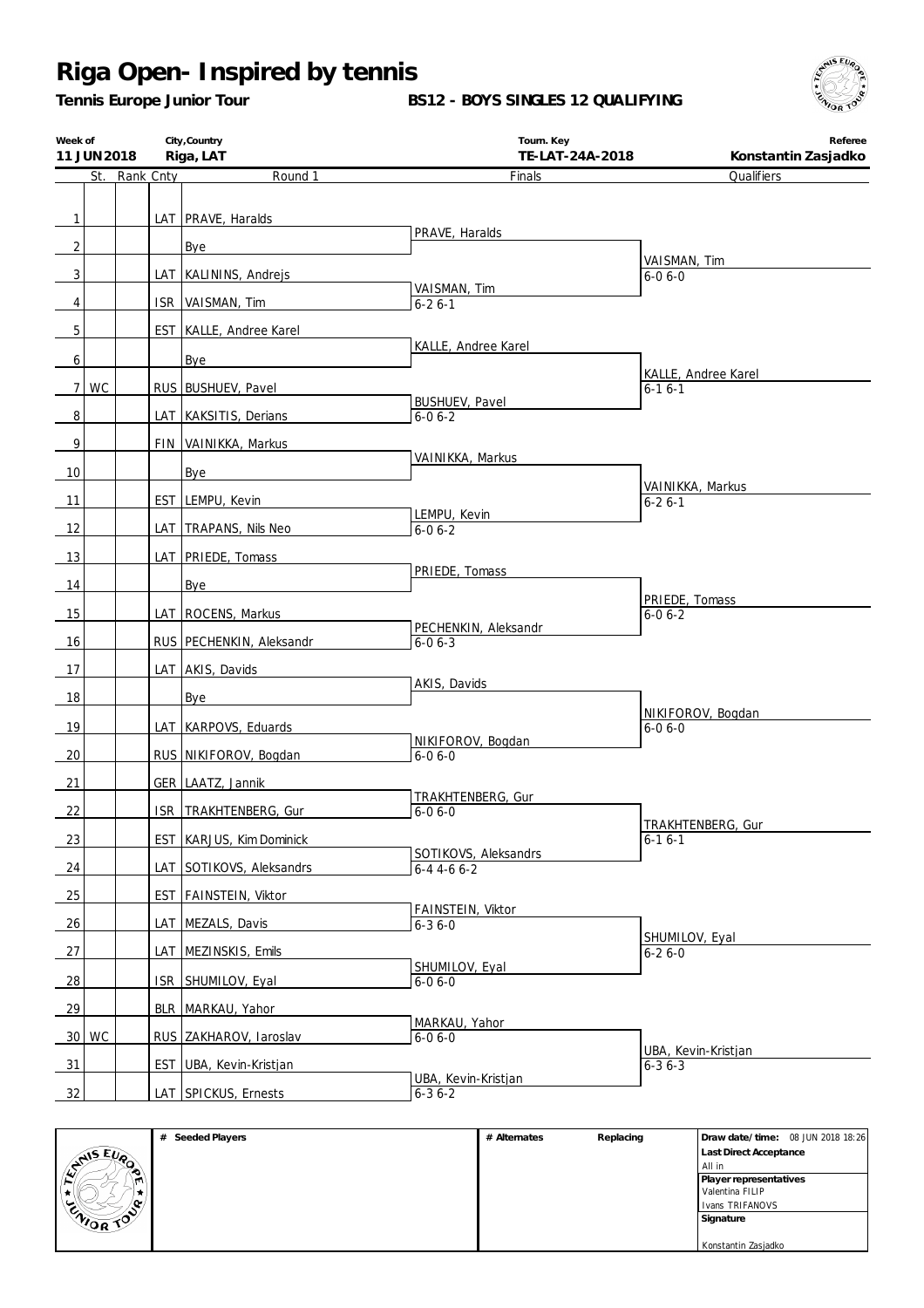*Tennis Europe Junior Tour*

**BS12 - BOYS SINGLES 12 QUALIFYING**



| Week of<br>11 JUN 2018 |       |               | City, Country<br>Riga, LAT | Tourn. Key<br>TE-LAT-24A-2018         | Referee<br>Konstantin Zasjadko    |
|------------------------|-------|---------------|----------------------------|---------------------------------------|-----------------------------------|
|                        |       | St. Rank Cnty | Round 1                    | Finals                                | Qualifiers                        |
|                        |       |               |                            |                                       |                                   |
| 1                      |       |               | LAT PRAVE, Haralds         |                                       |                                   |
| 2                      |       |               |                            | PRAVE, Haralds                        |                                   |
|                        |       |               | Bye                        |                                       | VAISMAN, Tim                      |
| 3                      |       |               | LAT KALININS, Andrejs      | VAISMAN, Tim                          | $6 - 06 - 0$                      |
| 4                      |       |               | ISR VAISMAN, Tim           | $6 - 26 - 1$                          |                                   |
| 5                      |       |               | EST KALLE, Andree Karel    |                                       |                                   |
|                        |       |               |                            | KALLE, Andree Karel                   |                                   |
| 6                      |       |               | Bye                        |                                       | KALLE, Andree Karel               |
| $\overline{7}$         | WC    |               | RUS BUSHUEV, Pavel         |                                       | $6 - 16 - 1$                      |
| 8                      |       |               | LAT KAKSITIS, Derians      | <b>BUSHUEV, Pavel</b><br>$6 - 06 - 2$ |                                   |
|                        |       |               |                            |                                       |                                   |
| 9                      |       |               | FIN VAINIKKA, Markus       | VAINIKKA, Markus                      |                                   |
| 10                     |       |               | Bye                        |                                       | VAINIKKA, Markus                  |
| 11                     |       |               | EST LEMPU, Kevin           |                                       | $6 - 26 - 1$                      |
| 12                     |       |               | LAT TRAPANS, Nils Neo      | LEMPU, Kevin<br>$6 - 06 - 2$          |                                   |
|                        |       |               |                            |                                       |                                   |
| 13                     |       |               | LAT PRIEDE, Tomass         | PRIEDE, Tomass                        |                                   |
| 14                     |       |               | Bye                        |                                       |                                   |
| 15                     |       |               | LAT   ROCENS, Markus       |                                       | PRIEDE, Tomass<br>$6 - 06 - 2$    |
|                        |       |               |                            | PECHENKIN, Aleksandr                  |                                   |
| 16                     |       |               | RUS PECHENKIN, Aleksandr   | $6 - 06 - 3$                          |                                   |
| 17                     |       |               | LAT AKIS, Davids           |                                       |                                   |
| 18                     |       |               | Bye                        | AKIS, Davids                          |                                   |
| 19                     |       |               | LAT KARPOVS, Eduards       |                                       | NIKIFOROV, Bogdan<br>$6 - 06 - 0$ |
|                        |       |               |                            | NIKIFOROV, Bogdan                     |                                   |
| 20                     |       |               | RUS NIKIFOROV, Bogdan      | $6 - 06 - 0$                          |                                   |
| 21                     |       |               | GER LAATZ, Jannik          |                                       |                                   |
| 22                     |       |               | ISR TRAKHTENBERG, Gur      | TRAKHTENBERG, Gur<br>$6 - 06 - 0$     |                                   |
|                        |       |               |                            |                                       | TRAKHTENBERG, Gur                 |
| 23                     |       |               | EST KARJUS, Kim Dominick   | SOTIKOVS, Aleksandrs                  | $6 - 16 - 1$                      |
| 24                     |       |               | LAT SOTIKOVS, Aleksandrs   | $6 - 4$ 4 - 6 6 - 2                   |                                   |
| 25                     |       |               | EST FAINSTEIN, Viktor      |                                       |                                   |
| 26                     |       |               | LAT MEZALS, Davis          | FAINSTEIN, Viktor<br>$6 - 36 - 0$     |                                   |
|                        |       |               |                            |                                       | SHUMILOV, Eyal                    |
| 27                     |       |               | LAT MEZINSKIS, Emils       | SHUMILOV, Eyal                        | $6 - 26 - 0$                      |
| <u>28</u>              |       |               | ISR SHUMILOV, Eyal         | $6 - 06 - 0$                          |                                   |
| 29                     |       |               | BLR   MARKAU, Yahor        |                                       |                                   |
|                        |       |               |                            | MARKAU, Yahor                         |                                   |
|                        | 30 WC |               | RUS ZAKHAROV, Iaroslav     | $6 - 06 - 0$                          | UBA, Kevin-Kristjan               |
| $\frac{31}{2}$         |       |               | EST UBA, Kevin-Kristjan    |                                       | $6 - 36 - 3$                      |
| 32                     |       |               | LAT SPICKUS, Ernests       | UBA, Kevin-Kristjan<br>$6 - 36 - 2$   |                                   |

|          | Seeded Players<br># | # Alternates | Replacing | Draw date/time: 08 JUN 2018 18:26 |
|----------|---------------------|--------------|-----------|-----------------------------------|
| ANS EVO, |                     |              |           | Last Direct Acceptance            |
| $\sim$   |                     |              |           | All in                            |
| m        |                     |              |           | Player representatives            |
| * 1      |                     |              |           | Valentina FILIP                   |
| ا مە/    |                     |              |           | Ivans TRIFANOVS                   |
| ENIOR TO |                     |              |           | Signature                         |
|          |                     |              |           |                                   |
|          |                     |              |           | Konstantin Zasjadko               |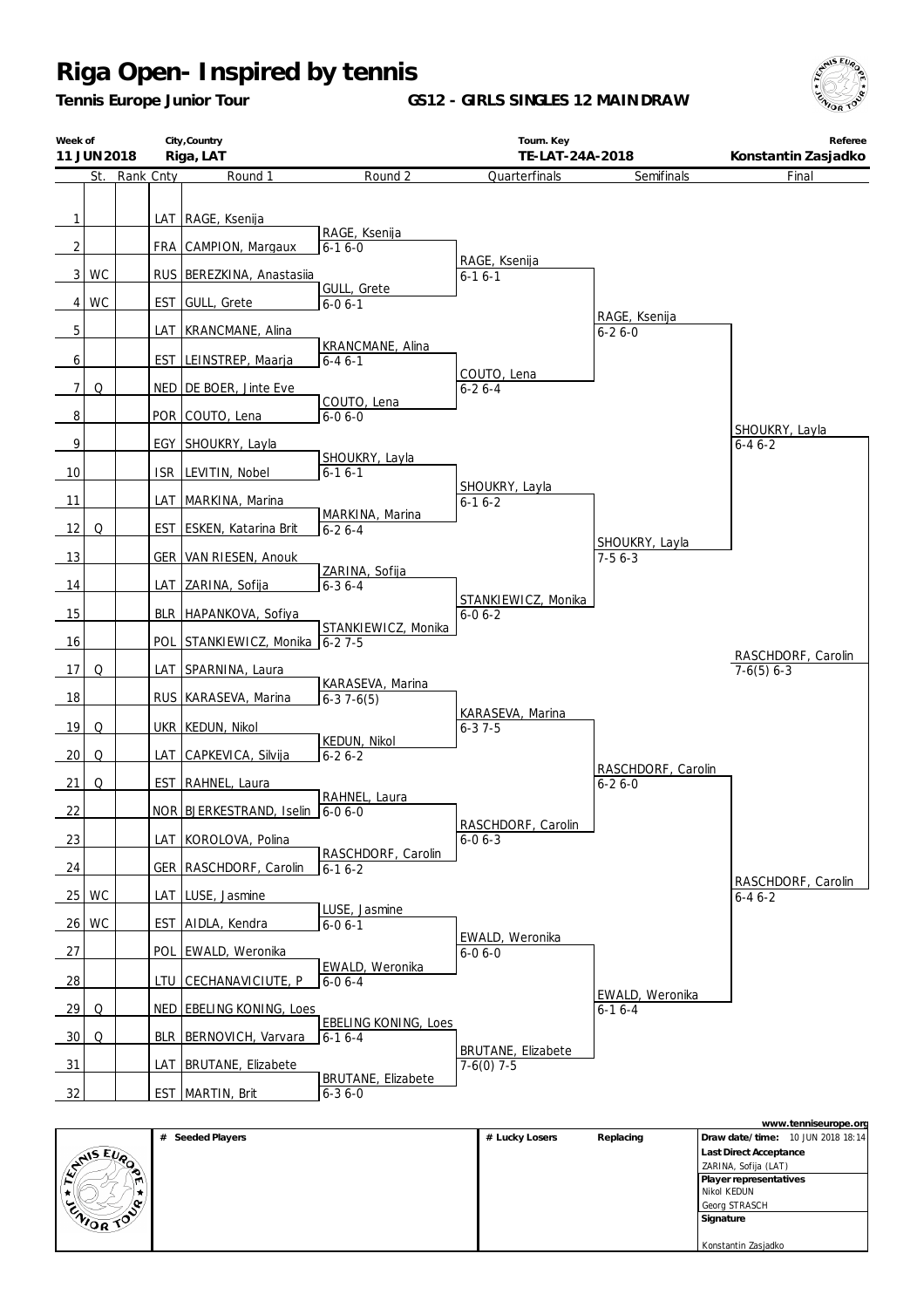*Tennis Europe Junior Tour*

**GS12 - GIRLS SINGLES 12 MAINDRAW**



| Week of                        | 11 JUN 2018 |           |     | City, Country<br>Riga, LAT                  |                                         | Tourn. Key<br>TE-LAT-24A-2018       |                               | Referee<br>Konstantin Zasjadko     |
|--------------------------------|-------------|-----------|-----|---------------------------------------------|-----------------------------------------|-------------------------------------|-------------------------------|------------------------------------|
|                                | St.         | Rank Cnty |     | Round 1                                     | Round 2                                 | Quarterfinals                       | Semifinals                    | Final                              |
| $\mathbf{1}$<br>$\overline{2}$ |             |           | FRA | LAT RAGE, Ksenija<br>CAMPION, Margaux       | RAGE, Ksenija<br>$6 - 16 - 0$           |                                     |                               |                                    |
|                                | 3 WC        |           |     | RUS BEREZKINA, Anastasija                   |                                         | RAGE, Ksenija<br>$6 - 16 - 1$       |                               |                                    |
|                                | 4 WC        |           | EST | GULL, Grete                                 | <b>GULL, Grete</b><br>$6 - 06 - 1$      |                                     |                               |                                    |
| 5                              |             |           | LAT | KRANCMANE, Alina                            |                                         |                                     | RAGE, Ksenija<br>$6 - 26 - 0$ |                                    |
| 6                              |             |           |     | EST LEINSTREP, Maarja                       | KRANCMANE, Alina<br>$6 - 46 - 1$        |                                     |                               |                                    |
|                                |             |           |     |                                             |                                         | COUTO, Lena                         |                               |                                    |
| 7 <sup>1</sup><br>8            | Q           |           |     | NED   DE BOER, Jinte Eve<br>POR COUTO, Lena | COUTO, Lena<br>$6 - 06 - 0$             | $6 - 26 - 4$                        |                               |                                    |
| $\overline{9}$                 |             |           |     | EGY SHOUKRY, Layla                          |                                         |                                     |                               | SHOUKRY, Layla<br>$6 - 46 - 2$     |
| 10                             |             |           |     | ISR LEVITIN, Nobel                          | SHOUKRY, Layla<br>$6-16-1$              |                                     |                               |                                    |
| 11                             |             |           |     | LAT MARKINA, Marina                         |                                         | SHOUKRY, Layla<br>$6 - 16 - 2$      |                               |                                    |
| 12                             | Q           |           |     | EST ESKEN, Katarina Brit                    | MARKINA, Marina<br>$6 - 26 - 4$         |                                     |                               |                                    |
| 13                             |             |           |     | <b>GER VAN RIESEN, Anouk</b>                |                                         |                                     | SHOUKRY, Layla<br>$7-56-3$    |                                    |
| 14                             |             |           |     | LAT ZARINA, Sofija                          | ZARINA, Sofija<br>$6 - 36 - 4$          |                                     |                               |                                    |
| 15                             |             |           |     | BLR HAPANKOVA, Sofiya                       |                                         | STANKIEWICZ, Monika<br>$6 - 06 - 2$ |                               |                                    |
| 16                             |             |           |     | POL STANKIEWICZ, Monika                     | STANKIEWICZ, Monika<br>$6 - 27 - 5$     |                                     |                               |                                    |
| 17                             | Q           |           |     | LAT SPARNINA, Laura                         |                                         |                                     |                               | RASCHDORF, Carolin<br>$7-6(5)$ 6-3 |
| 18                             |             |           |     | RUS KARASEVA, Marina                        | KARASEVA, Marina<br>$6-37-6(5)$         | KARASEVA, Marina                    |                               |                                    |
| 19                             | Q           |           |     | UKR   KEDUN, Nikol                          |                                         | $6 - 37 - 5$                        |                               |                                    |
| 20                             | Q           |           |     | LAT CAPKEVICA, Silvija                      | <b>KEDUN, Nikol</b><br>$6 - 26 - 2$     |                                     | RASCHDORF, Carolin            |                                    |
| 21                             | Q           |           |     | EST   RAHNEL, Laura                         | RAHNEL, Laura                           |                                     | $6 - 26 - 0$                  |                                    |
| 22                             |             |           |     | NOR BJERKESTRAND, Iselin                    | $6 - 06 - 0$                            |                                     |                               |                                    |
| 23                             |             |           |     | LAT KOROLOVA, Polina                        | RASCHDORF, Carolin                      | RASCHDORF, Carolin<br>$6 - 06 - 3$  |                               |                                    |
| 24                             |             |           |     | GER RASCHDORF, Carolin                      | $6 - 16 - 2$                            |                                     |                               |                                    |
|                                | 25 WC       |           |     | LAT LUSE, Jasmine                           |                                         |                                     |                               | RASCHDORF, Carolin<br>$6 - 46 - 2$ |
|                                | 26 WC       |           |     | EST AIDLA, Kendra                           | LUSE, Jasmine<br>$6 - 06 - 1$           | EWALD, Weronika                     |                               |                                    |
| 27                             |             |           |     | POL EWALD, Weronika                         |                                         | $6 - 06 - 0$                        |                               |                                    |
| 28                             |             |           |     | <u>LTU CECHANAVICIUTE, P</u>                | EWALD, Weronika<br>$6 - 06 - 4$         |                                     | EWALD, Weronika               |                                    |
| 29                             | Q           |           |     | NED EBELING KONING, Loes                    |                                         |                                     | $6 - 16 - 4$                  |                                    |
| 30 <sup>1</sup>                | Q           |           |     | BLR BERNOVICH, Varvara                      | <b>EBELING KONING, Loes</b><br>$6-16-4$ | <b>BRUTANE, Elizabete</b>           |                               |                                    |
| 31                             |             |           |     | LAT BRUTANE, Elizabete                      | <b>BRUTANE, Elizabete</b>               | $7-6(0)$ 7-5                        |                               |                                    |
| 32                             |             |           |     | EST MARTIN, Brit                            | $6 - 36 - 0$                            |                                     |                               |                                    |

|          |                     |                |           | www.tenniseurope.org              |
|----------|---------------------|----------------|-----------|-----------------------------------|
|          | Seeded Players<br># | # Lucky Losers | Replacing | Draw date/time: 10 JUN 2018 18:14 |
| ANIS EUP |                     |                |           | Last Direct Acceptance            |
|          |                     |                |           | ZARINA, Sofija (LAT)              |
| m)       |                     |                |           | Player representatives            |
| Ħ.,      |                     |                |           | Nikol KEDUN                       |
| $\sim$   |                     |                |           | Georg STRASCH                     |
| ENIOR TO |                     |                |           | Signature                         |
|          |                     |                |           |                                   |
|          |                     |                |           | Konstantin Zasjadko               |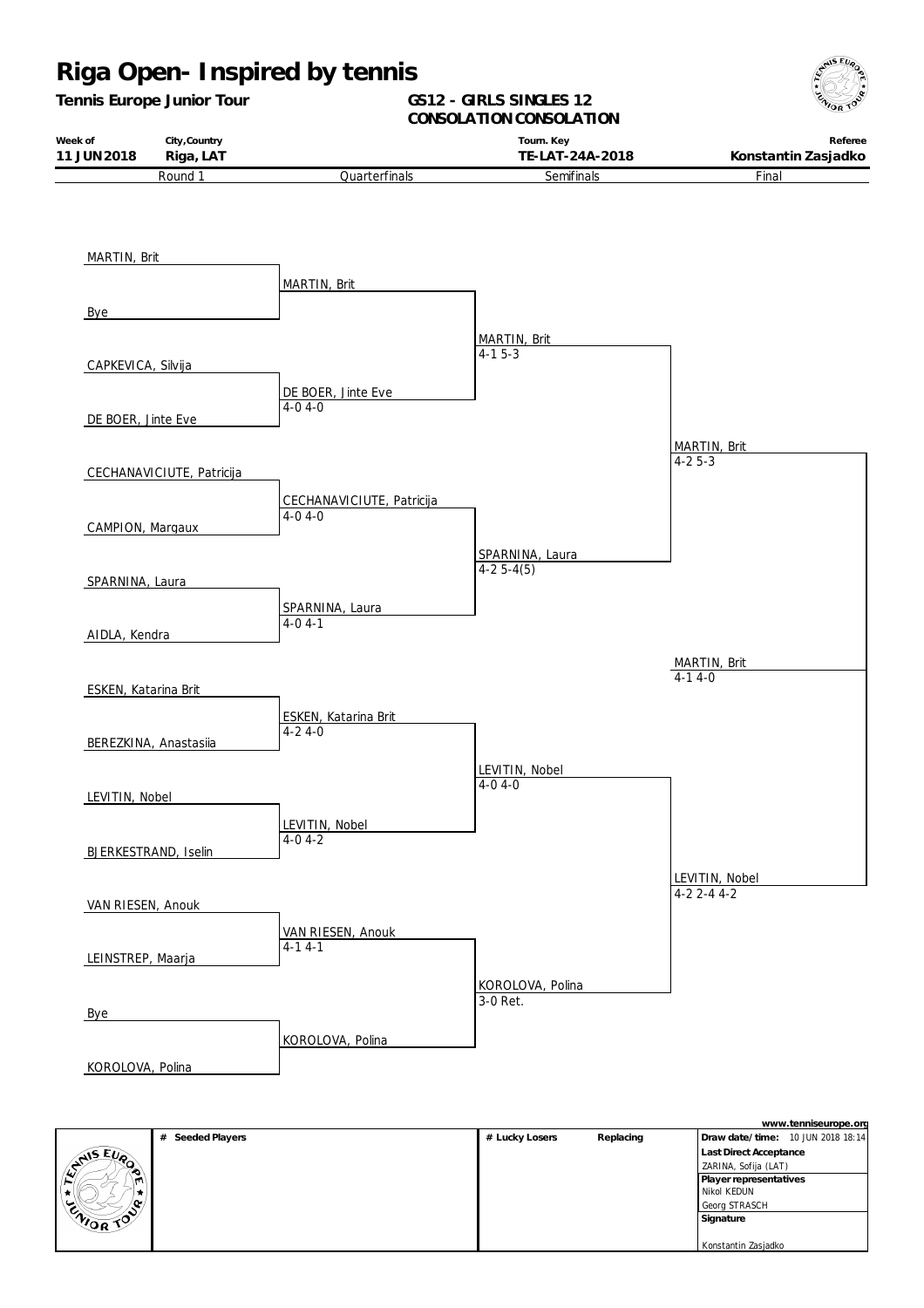#### **Riga Open- Inspired by tennis** *Tennis Europe Junior Tour* **Week of 11 JUN2018 City,Country Riga, LAT GS12 - GIRLS SINGLES 12** CONSOLATION CONSOLATION **Tourn. Key TE-LAT-24A-2018 Referee Konstantin Zasjadko** Round 1 MARTIN, Brit Bye CAPKEVICA, Silvija DE BOER, Jinte Eve CECHANAVICIUTE, Patricija CAMPION, Margaux SPARNINA, Laura AIDLA, Kendra ESKEN, Katarina Brit BEREZKINA, Anastasiia LEVITIN, Nobel BJERKESTRAND, Iselin VAN RIESEN, Anouk LEINSTREP, Maarja Bye KOROLOVA, Polina **Quarterfinals** MARTIN, Brit DE BOER, Jinte Eve 4-0 4-0 CECHANAVICIUTE, Patricija 4-0 4-0 SPARNINA, Laura 4-0 4-1 ESKEN, Katarina Brit 4-2 4-0 LEVITIN, Nobel 4-0 4-2 VAN RIESEN, Anouk  $4-14-1$ KOROLOVA, Polina **Semifinals** MARTIN, Brit  $4-1$  5 $-3$ SPARNINA, Laura  $4-25-4(5)$ LEVITIN, Nobel  $4 - 04 - 0$ KOROLOVA, Polina 3-0 Ret. Final MARTIN, Brit 4-2 5-3 LEVITIN, Nobel 4-2 2-4 4-2 MARTIN, Brit  $\overline{4-14-0}$

|                  | Seeded Players<br># | # Lucky Losers | Replacing | Draw date/time: 10 JUN 2018 18:14 |
|------------------|---------------------|----------------|-----------|-----------------------------------|
|                  |                     |                |           | Last Direct Acceptance            |
| LANS EVA         |                     |                |           | ZARINA, Sofija (LAT)              |
| IM)              |                     |                |           | Player representatives            |
|                  |                     |                |           | Nikol KEDUN                       |
|                  |                     |                |           | Georg STRASCH                     |
| <b>ENIOR TOP</b> |                     |                |           | Signature                         |
|                  |                     |                |           |                                   |
|                  |                     |                |           | Konstantin Zasjadko               |

**www.tenniseurope.org**

**AIS EURO**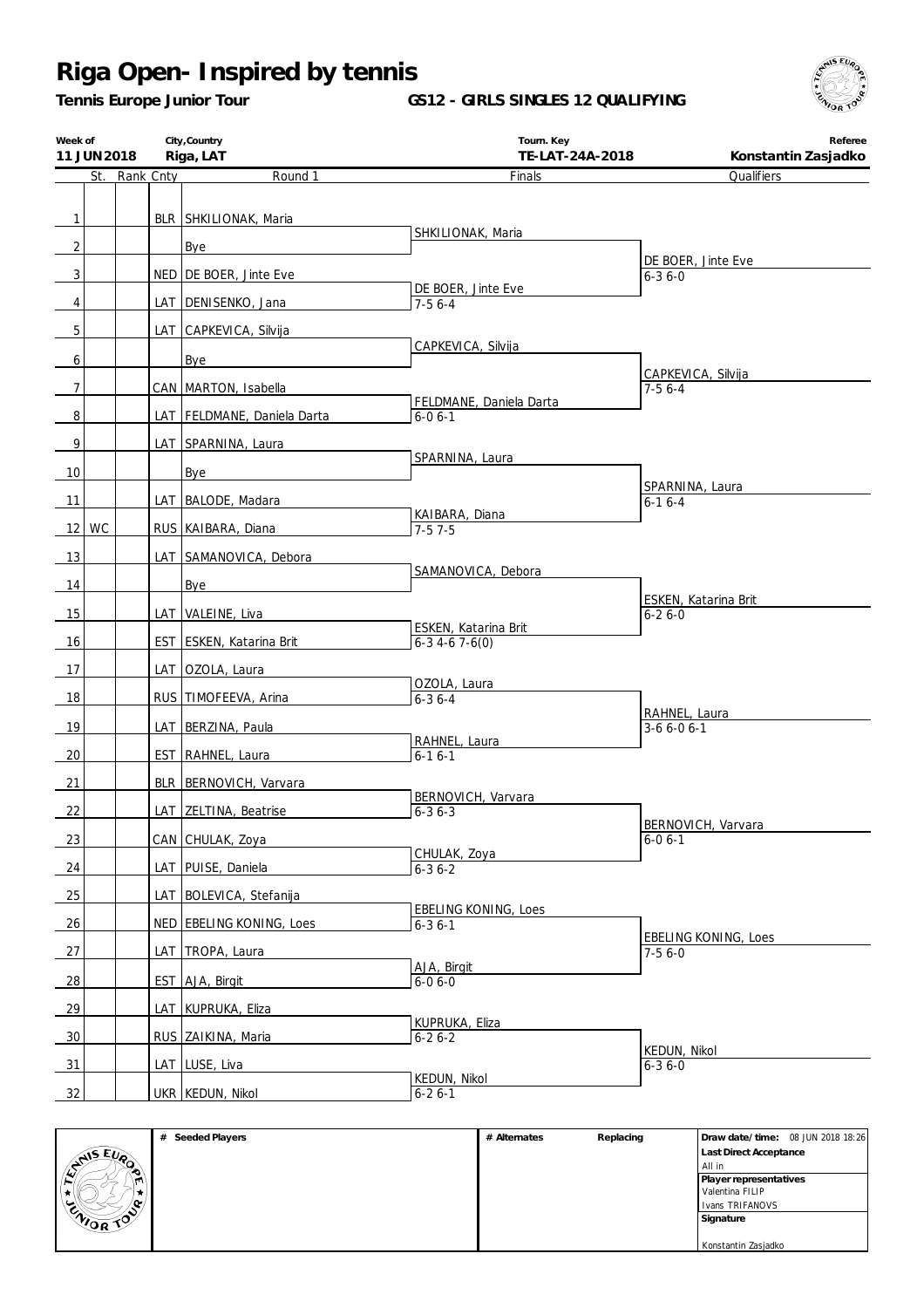*Tennis Europe Junior Tour*

**GS12 - GIRLS SINGLES 12 QUALIFYING**



| Week of        | 11 JUN 2018 |               |     | City, Country<br>Riga, LAT   | Tourn. Key<br>TE-LAT-24A-2018               | Referee<br>Konstantin Zasjadko          |
|----------------|-------------|---------------|-----|------------------------------|---------------------------------------------|-----------------------------------------|
|                |             | St. Rank Cnty |     | Round 1                      | Finals                                      | Qualifiers                              |
|                |             |               |     |                              |                                             |                                         |
| $\mathbf{1}$   |             |               |     | <b>BLR SHKILIONAK, Maria</b> | SHKILIONAK, Maria                           |                                         |
| $\overline{2}$ |             |               |     | Bye                          |                                             |                                         |
| $\mathbf{3}$   |             |               |     | NED DE BOER, Jinte Eve       |                                             | DE BOER, Jinte Eve<br>$6 - 36 - 0$      |
|                |             |               |     |                              | DE BOER, Jinte Eve                          |                                         |
| $\overline{4}$ |             |               |     | LAT DENISENKO, Jana          | $7-56-4$                                    |                                         |
| 5              |             |               |     | LAT_CAPKEVICA, Silvija       | CAPKEVICA, Silvija                          |                                         |
| 6              |             |               |     | Bye                          |                                             |                                         |
| $\overline{7}$ |             |               |     | CAN MARTON, Isabella         |                                             | CAPKEVICA, Silvija<br>$7-56-4$          |
|                |             |               |     |                              | FELDMANE, Daniela Darta                     |                                         |
| $\, 8$         |             |               |     | LAT FELDMANE, Daniela Darta  | $6 - 06 - 1$                                |                                         |
| 9              |             |               |     | LAT SPARNINA, Laura          | SPARNINA, Laura                             |                                         |
| 10             |             |               |     | Bye                          |                                             |                                         |
| 11             |             |               |     | LAT BALODE, Madara           |                                             | SPARNINA, Laura<br>$6-16-4$             |
|                |             |               |     |                              | KAIBARA, Diana                              |                                         |
|                | 12 WC       |               |     | RUS KAIBARA, Diana           | $7-57-5$                                    |                                         |
| 13             |             |               |     | LAT SAMANOVICA, Debora       |                                             |                                         |
| 14             |             |               |     | <b>Bye</b>                   | SAMANOVICA, Debora                          |                                         |
| 15             |             |               |     | LAT VALEINE, Liva            |                                             | ESKEN, Katarina Brit<br>$6 - 26 - 0$    |
|                |             |               |     |                              | ESKEN, Katarina Brit                        |                                         |
| 16             |             |               |     | EST ESKEN, Katarina Brit     | $6-3$ 4-6 7-6(0)                            |                                         |
| 17             |             |               |     | LAT OZOLA, Laura             |                                             |                                         |
| 18             |             |               |     | RUS TIMOFEEVA, Arina         | OZOLA, Laura<br>$6 - 36 - 4$                |                                         |
| 19             |             |               |     | LAT BERZINA, Paula           |                                             | RAHNEL, Laura<br>$3-66-06-1$            |
|                |             |               |     |                              | RAHNEL, Laura                               |                                         |
| 20             |             |               |     | EST RAHNEL, Laura            | $6 - 16 - 1$                                |                                         |
| 21             |             |               |     | BLR BERNOVICH, Varvara       |                                             |                                         |
| 22             |             |               |     | LAT ZELTINA, Beatrise        | BERNOVICH, Varvara<br>$6 - 36 - 3$          |                                         |
| 23             |             |               |     | CAN CHULAK, Zoya             |                                             | BERNOVICH, Varvara<br>$6 - 06 - 1$      |
|                |             |               |     |                              | CHULAK, Zoya                                |                                         |
| 24             |             |               |     | LAT PUISE, Daniela           | $6 - 36 - 2$                                |                                         |
| 25             |             |               |     | LAT BOLEVICA, Stefanija      |                                             |                                         |
| 26             |             |               | NED | <b>EBELING KONING, Loes</b>  | <b>EBELING KONING, Loes</b><br>$6 - 36 - 1$ |                                         |
| 27             |             |               | LAT | TROPA, Laura                 |                                             | <b>EBELING KONING, Loes</b><br>$7-56-0$ |
|                |             |               |     |                              | AJA, Birgit                                 |                                         |
| $\frac{28}{ }$ |             |               |     | EST AJA, Birgit              | $6-06-0$                                    |                                         |
| 29             |             |               |     | LAT KUPRUKA, Eliza           |                                             |                                         |
| 30             |             |               |     | RUS ZAIKINA, Maria           | KUPRUKA, Eliza<br>$6 - 26 - 2$              |                                         |
|                |             |               |     |                              |                                             | KEDUN, Nikol                            |
| $\frac{31}{2}$ |             |               |     | LAT LUSE, Liva               | KEDUN, Nikol                                | $6 - 36 - 0$                            |
| 32             |             |               |     | UKR KEDUN, Nikol             | $6 - 26 - 1$                                |                                         |

|                  | Seeded Players<br># | # Alternates | Replacing | Draw date/time: 08 JUN 2018 18:26 |
|------------------|---------------------|--------------|-----------|-----------------------------------|
| ANS EVO          |                     |              |           | Last Direct Acceptance            |
| $\sim$           |                     |              |           | All in                            |
| m                |                     |              |           | Player representatives            |
|                  |                     |              |           | Valentina FILIP                   |
| ر می             |                     |              |           | Ivans TRIFANOVS                   |
| <b>CAIOR TOP</b> |                     |              |           | Signature                         |
|                  |                     |              |           |                                   |
|                  |                     |              |           | Konstantin Zasjadko               |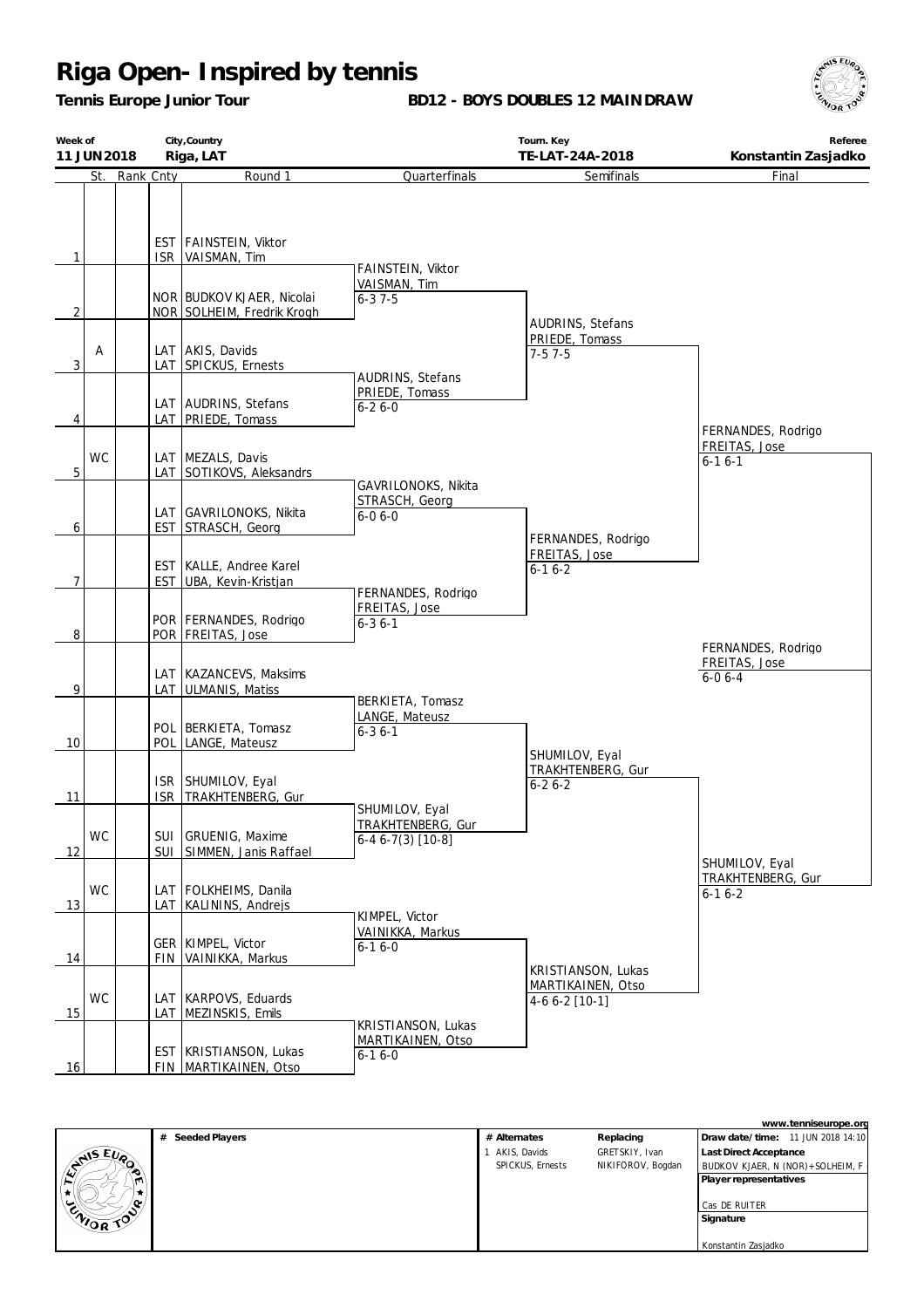*Tennis Europe Junior Tour*

**BD12 - BOYS DOUBLES 12 MAINDRAW**



| Week of                        | 11 JUN 2018 |               | City, Country<br>Riga, LAT                                                                           |                                                    | Tourn. Key<br>TE-LAT-24A-2018                              | Referee<br>Konstantin Zasjadko    |
|--------------------------------|-------------|---------------|------------------------------------------------------------------------------------------------------|----------------------------------------------------|------------------------------------------------------------|-----------------------------------|
|                                |             | St. Rank Cnty | Round 1                                                                                              | Quarterfinals                                      | Semifinals                                                 | Final                             |
| $\mathbf{1}$<br>$\overline{2}$ |             |               | EST FAINSTEIN, Viktor<br>ISR VAISMAN, Tim<br>NOR BUDKOV KJAER, Nicolai<br>NOR SOLHEIM, Fredrik Krogh | FAINSTEIN, Viktor<br>VAISMAN, Tim<br>$6 - 37 - 5$  |                                                            |                                   |
| 3                              | Α           |               | LAT AKIS, Davids<br>LAT SPICKUS, Ernests                                                             | AUDRINS, Stefans                                   | <b>AUDRINS, Stefans</b><br>PRIEDE, Tomass<br>$7-57-5$      |                                   |
| 4                              |             |               | LAT AUDRINS, Stefans<br>LAT PRIEDE, Tomass                                                           | PRIEDE, Tomass<br>$6 - 26 - 0$                     |                                                            | FERNANDES, Rodrigo                |
| 5                              | <b>WC</b>   |               | LAT MEZALS, Davis<br>LAT SOTIKOVS, Aleksandrs                                                        | GAVRILONOKS, Nikita                                |                                                            | FREITAS, Jose<br>$6 - 16 - 1$     |
| 6                              |             |               | LAT GAVRILONOKS, Nikita<br><b>EST STRASCH, Georg</b>                                                 | STRASCH, Georg<br>$6 - 06 - 0$                     | FERNANDES, Rodrigo                                         |                                   |
| 7                              |             |               | EST KALLE, Andree Karel<br>EST UBA, Kevin-Kristjan                                                   | FERNANDES, Rodrigo                                 | FREITAS, Jose<br>$6 - 16 - 2$                              |                                   |
| 8                              |             |               | POR FERNANDES, Rodrigo<br>POR   FREITAS, Jose                                                        | FREITAS, Jose<br>$6 - 36 - 1$                      |                                                            | FERNANDES, Rodrigo                |
| 9                              |             |               | LAT KAZANCEVS, Maksims<br>LAT ULMANIS, Matiss                                                        |                                                    |                                                            | FREITAS, Jose<br>$6 - 06 - 4$     |
| 10                             |             |               | POL   BERKIETA, Tomasz<br>POL LANGE, Mateusz                                                         | BERKIETA, Tomasz<br>LANGE, Mateusz<br>$6 - 36 - 1$ | SHUMILOV, Eyal                                             |                                   |
| <u>11</u>                      |             | <b>ISR</b>    | ISR SHUMILOV, Eyal<br>TRAKHTENBERG, Gur                                                              | SHUMILOV, Eyal                                     | TRAKHTENBERG, Gur<br>$6 - 26 - 2$                          |                                   |
| 12                             | <b>WC</b>   |               | SUI GRUENIG, Maxime<br>SUI SIMMEN, Janis Raffael                                                     | TRAKHTENBERG, Gur<br>$6-46-7(3)$ [10-8]            |                                                            | SHUMILOV, Eyal                    |
| 13                             | <b>WC</b>   |               | LAT FOLKHEIMS, Danila<br>LAT   KALININS, Andrejs                                                     | KIMPEL, Victor                                     |                                                            | TRAKHTENBERG, Gur<br>$6 - 16 - 2$ |
| 14                             |             |               | GER   KIMPEL, Victor<br>FIN VAINIKKA, Markus                                                         | VAINIKKA, Markus<br>$6 - 16 - 0$                   |                                                            |                                   |
| 15                             | <b>WC</b>   | LAT           | LAT KARPOVS, Eduards<br>MEZINSKIS, Emils                                                             | KRISTIANSON, Lukas                                 | KRISTIANSON, Lukas<br>MARTIKAINEN, Otso<br>$4-66-2$ [10-1] |                                   |
| 16                             |             |               | EST   KRISTIANSON, Lukas<br>FIN MARTIKAINEN, Otso                                                    | MARTIKAINEN, Otso<br>$6 - 16 - 0$                  |                                                            |                                   |

|                   |                     |                  |                   | www.tenniseurope.org              |
|-------------------|---------------------|------------------|-------------------|-----------------------------------|
|                   | Seeded Players<br># | # Alternates     | Replacing         | Draw date/time: 11 JUN 2018 14:10 |
|                   |                     | AKIS, Davids     | GRETSKIY, Ivan    | Last Direct Acceptance            |
| <b>EVALUE EVA</b> |                     | SPICKUS, Ernests | NIKIFOROV, Bogdan | BUDKOV KJAER, N (NOR)+SOLHEIM, F  |
| m                 |                     |                  |                   | Player representatives            |
| v                 |                     |                  |                   |                                   |
|                   |                     |                  |                   | Cas DE RUITER                     |
| ENIOR TOP         |                     |                  |                   | Signature                         |
|                   |                     |                  |                   |                                   |
|                   |                     |                  |                   | Konstantin Zasjadko               |